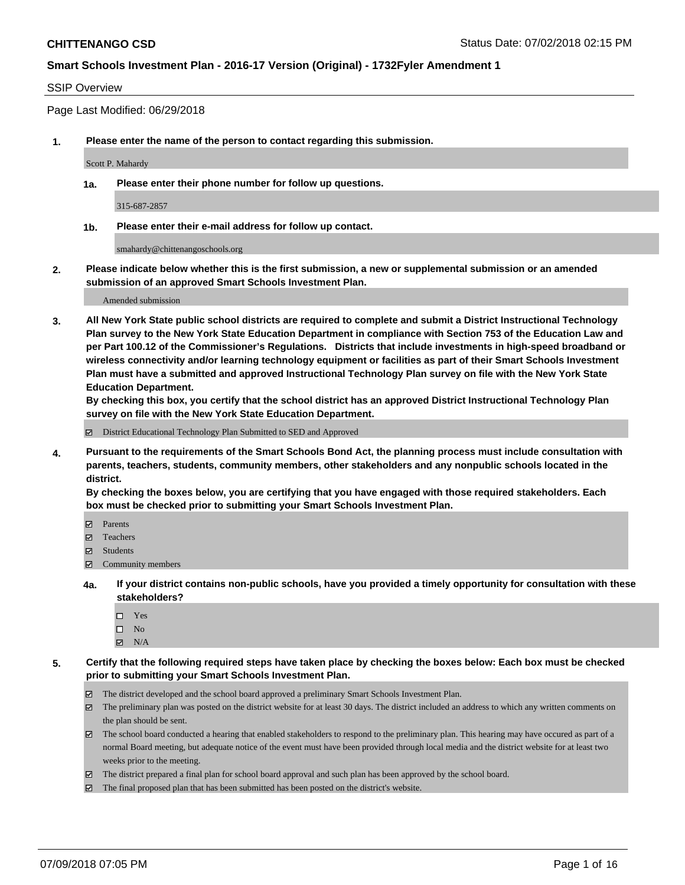#### SSIP Overview

Page Last Modified: 06/29/2018

**1. Please enter the name of the person to contact regarding this submission.**

Scott P. Mahardy

**1a. Please enter their phone number for follow up questions.**

315-687-2857

**1b. Please enter their e-mail address for follow up contact.**

smahardy@chittenangoschools.org

**2. Please indicate below whether this is the first submission, a new or supplemental submission or an amended submission of an approved Smart Schools Investment Plan.**

Amended submission

**3. All New York State public school districts are required to complete and submit a District Instructional Technology Plan survey to the New York State Education Department in compliance with Section 753 of the Education Law and per Part 100.12 of the Commissioner's Regulations. Districts that include investments in high-speed broadband or wireless connectivity and/or learning technology equipment or facilities as part of their Smart Schools Investment Plan must have a submitted and approved Instructional Technology Plan survey on file with the New York State Education Department.** 

**By checking this box, you certify that the school district has an approved District Instructional Technology Plan survey on file with the New York State Education Department.**

District Educational Technology Plan Submitted to SED and Approved

**4. Pursuant to the requirements of the Smart Schools Bond Act, the planning process must include consultation with parents, teachers, students, community members, other stakeholders and any nonpublic schools located in the district.** 

**By checking the boxes below, you are certifying that you have engaged with those required stakeholders. Each box must be checked prior to submitting your Smart Schools Investment Plan.**

- Parents
- Teachers
- Students
- Community members
- **4a. If your district contains non-public schools, have you provided a timely opportunity for consultation with these stakeholders?**
	- Yes
	- $\square$  No
	- $N/A$
- **5. Certify that the following required steps have taken place by checking the boxes below: Each box must be checked prior to submitting your Smart Schools Investment Plan.**
	- The district developed and the school board approved a preliminary Smart Schools Investment Plan.
	- $\boxtimes$  The preliminary plan was posted on the district website for at least 30 days. The district included an address to which any written comments on the plan should be sent.
	- $\boxtimes$  The school board conducted a hearing that enabled stakeholders to respond to the preliminary plan. This hearing may have occured as part of a normal Board meeting, but adequate notice of the event must have been provided through local media and the district website for at least two weeks prior to the meeting.
	- The district prepared a final plan for school board approval and such plan has been approved by the school board.
	- $\boxtimes$  The final proposed plan that has been submitted has been posted on the district's website.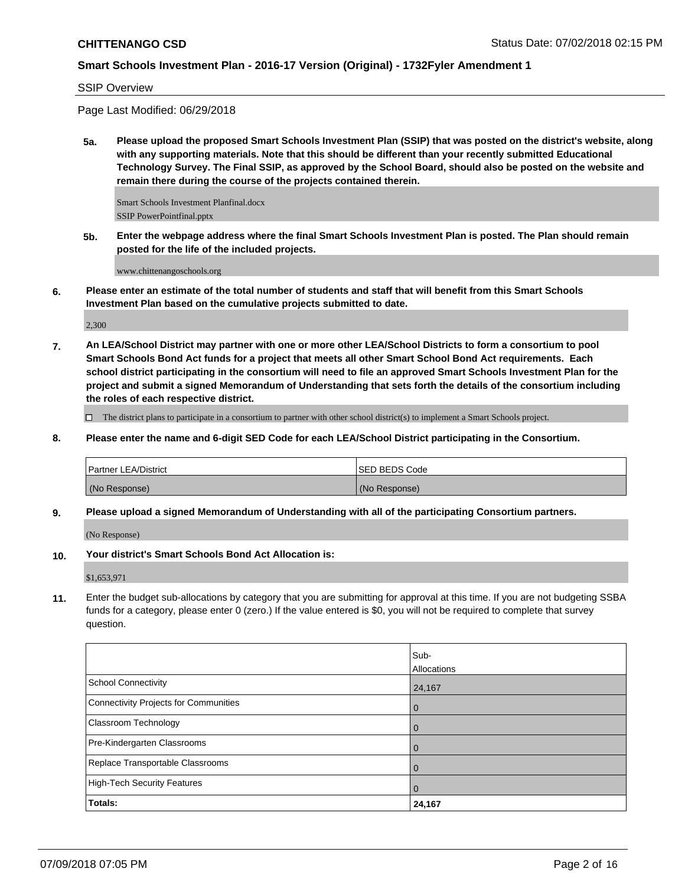SSIP Overview

Page Last Modified: 06/29/2018

**5a. Please upload the proposed Smart Schools Investment Plan (SSIP) that was posted on the district's website, along with any supporting materials. Note that this should be different than your recently submitted Educational Technology Survey. The Final SSIP, as approved by the School Board, should also be posted on the website and remain there during the course of the projects contained therein.**

Smart Schools Investment Planfinal.docx SSIP PowerPointfinal.pptx

**5b. Enter the webpage address where the final Smart Schools Investment Plan is posted. The Plan should remain posted for the life of the included projects.**

www.chittenangoschools.org

**6. Please enter an estimate of the total number of students and staff that will benefit from this Smart Schools Investment Plan based on the cumulative projects submitted to date.**

2,300

**7. An LEA/School District may partner with one or more other LEA/School Districts to form a consortium to pool Smart Schools Bond Act funds for a project that meets all other Smart School Bond Act requirements. Each school district participating in the consortium will need to file an approved Smart Schools Investment Plan for the project and submit a signed Memorandum of Understanding that sets forth the details of the consortium including the roles of each respective district.**

 $\Box$  The district plans to participate in a consortium to partner with other school district(s) to implement a Smart Schools project.

**8. Please enter the name and 6-digit SED Code for each LEA/School District participating in the Consortium.**

| <b>Partner LEA/District</b> | <b>ISED BEDS Code</b> |
|-----------------------------|-----------------------|
| (No Response)               | (No Response)         |

**9. Please upload a signed Memorandum of Understanding with all of the participating Consortium partners.**

(No Response)

**10. Your district's Smart Schools Bond Act Allocation is:**

\$1,653,971

**11.** Enter the budget sub-allocations by category that you are submitting for approval at this time. If you are not budgeting SSBA funds for a category, please enter 0 (zero.) If the value entered is \$0, you will not be required to complete that survey question.

|                                       | Sub-           |
|---------------------------------------|----------------|
|                                       | Allocations    |
| <b>School Connectivity</b>            | 24,167         |
| Connectivity Projects for Communities | $\overline{0}$ |
| <b>Classroom Technology</b>           | l 0            |
| Pre-Kindergarten Classrooms           | $\overline{0}$ |
| Replace Transportable Classrooms      | $\overline{0}$ |
| High-Tech Security Features           | $\overline{0}$ |
| Totals:                               | 24,167         |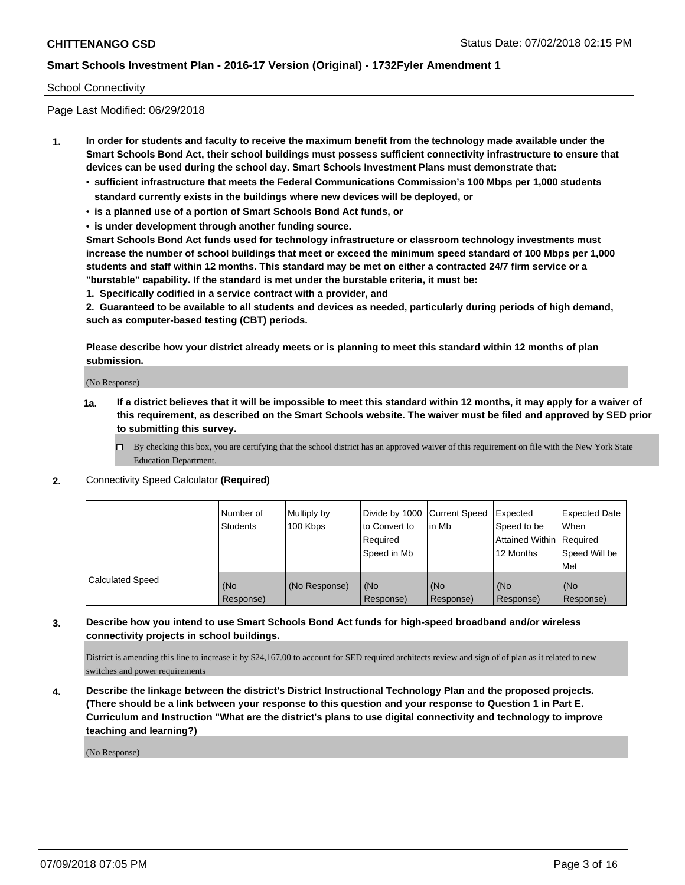### School Connectivity

Page Last Modified: 06/29/2018

- **1. In order for students and faculty to receive the maximum benefit from the technology made available under the Smart Schools Bond Act, their school buildings must possess sufficient connectivity infrastructure to ensure that devices can be used during the school day. Smart Schools Investment Plans must demonstrate that:**
	- **• sufficient infrastructure that meets the Federal Communications Commission's 100 Mbps per 1,000 students standard currently exists in the buildings where new devices will be deployed, or**
	- **• is a planned use of a portion of Smart Schools Bond Act funds, or**
	- **• is under development through another funding source.**

**Smart Schools Bond Act funds used for technology infrastructure or classroom technology investments must increase the number of school buildings that meet or exceed the minimum speed standard of 100 Mbps per 1,000 students and staff within 12 months. This standard may be met on either a contracted 24/7 firm service or a "burstable" capability. If the standard is met under the burstable criteria, it must be:**

**1. Specifically codified in a service contract with a provider, and**

**2. Guaranteed to be available to all students and devices as needed, particularly during periods of high demand, such as computer-based testing (CBT) periods.**

**Please describe how your district already meets or is planning to meet this standard within 12 months of plan submission.**

(No Response)

- **1a. If a district believes that it will be impossible to meet this standard within 12 months, it may apply for a waiver of this requirement, as described on the Smart Schools website. The waiver must be filed and approved by SED prior to submitting this survey.**
	- By checking this box, you are certifying that the school district has an approved waiver of this requirement on file with the New York State Education Department.
- **2.** Connectivity Speed Calculator **(Required)**

|                         | l Number of<br>Students | Multiply by<br>100 Kbps | Divide by 1000 Current Speed<br>to Convert to<br>Required<br>Speed in Mb | lin Mb           | Expected<br>Speed to be<br>Attained Within Required<br>12 Months | <b>Expected Date</b><br>When<br>Speed Will be<br>Met |
|-------------------------|-------------------------|-------------------------|--------------------------------------------------------------------------|------------------|------------------------------------------------------------------|------------------------------------------------------|
| <b>Calculated Speed</b> | (No<br>Response)        | (No Response)           | (No<br>Response)                                                         | (No<br>Response) | (No<br>Response)                                                 | l (No<br>Response)                                   |

### **3. Describe how you intend to use Smart Schools Bond Act funds for high-speed broadband and/or wireless connectivity projects in school buildings.**

District is amending this line to increase it by \$24,167.00 to account for SED required architects review and sign of of plan as it related to new switches and power requirements

**4. Describe the linkage between the district's District Instructional Technology Plan and the proposed projects. (There should be a link between your response to this question and your response to Question 1 in Part E. Curriculum and Instruction "What are the district's plans to use digital connectivity and technology to improve teaching and learning?)**

(No Response)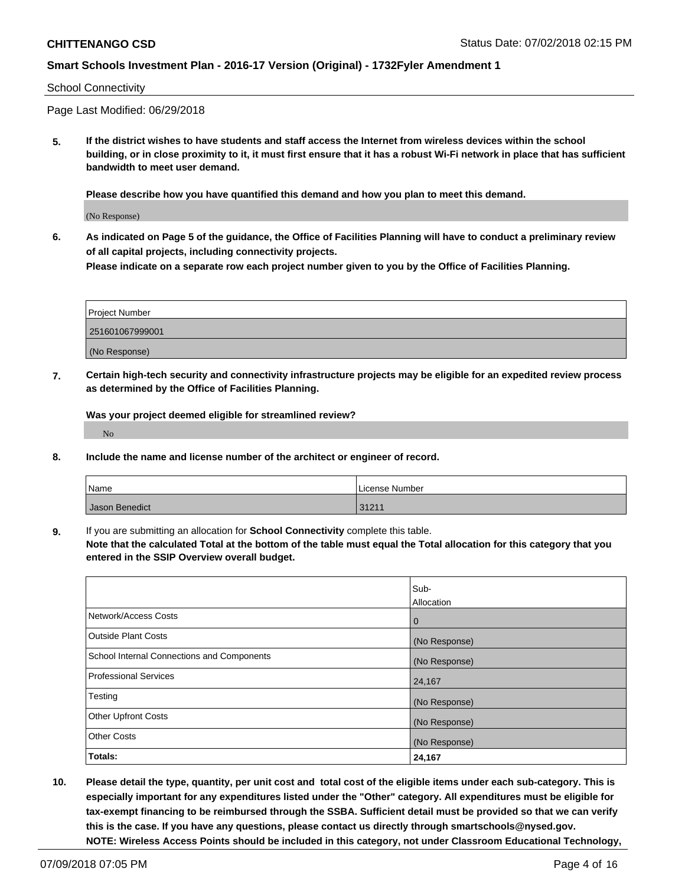#### School Connectivity

Page Last Modified: 06/29/2018

**5. If the district wishes to have students and staff access the Internet from wireless devices within the school building, or in close proximity to it, it must first ensure that it has a robust Wi-Fi network in place that has sufficient bandwidth to meet user demand.**

**Please describe how you have quantified this demand and how you plan to meet this demand.**

(No Response)

**6. As indicated on Page 5 of the guidance, the Office of Facilities Planning will have to conduct a preliminary review of all capital projects, including connectivity projects.**

**Please indicate on a separate row each project number given to you by the Office of Facilities Planning.**

| <b>Project Number</b> |
|-----------------------|
| 251601067999001       |
| (No Response)         |

**7. Certain high-tech security and connectivity infrastructure projects may be eligible for an expedited review process as determined by the Office of Facilities Planning.**

**Was your project deemed eligible for streamlined review?**

No

**8. Include the name and license number of the architect or engineer of record.**

| Name           | License Number |
|----------------|----------------|
| Jason Benedict | 31211          |

**9.** If you are submitting an allocation for **School Connectivity** complete this table.

**Note that the calculated Total at the bottom of the table must equal the Total allocation for this category that you entered in the SSIP Overview overall budget.** 

|                                            | Sub-          |
|--------------------------------------------|---------------|
|                                            | Allocation    |
| Network/Access Costs                       | $\mathbf{0}$  |
| <b>Outside Plant Costs</b>                 | (No Response) |
| School Internal Connections and Components | (No Response) |
| <b>Professional Services</b>               | 24,167        |
| Testing                                    | (No Response) |
| <b>Other Upfront Costs</b>                 | (No Response) |
| <b>Other Costs</b>                         | (No Response) |
| Totals:                                    | 24,167        |

**10. Please detail the type, quantity, per unit cost and total cost of the eligible items under each sub-category. This is especially important for any expenditures listed under the "Other" category. All expenditures must be eligible for tax-exempt financing to be reimbursed through the SSBA. Sufficient detail must be provided so that we can verify this is the case. If you have any questions, please contact us directly through smartschools@nysed.gov. NOTE: Wireless Access Points should be included in this category, not under Classroom Educational Technology,**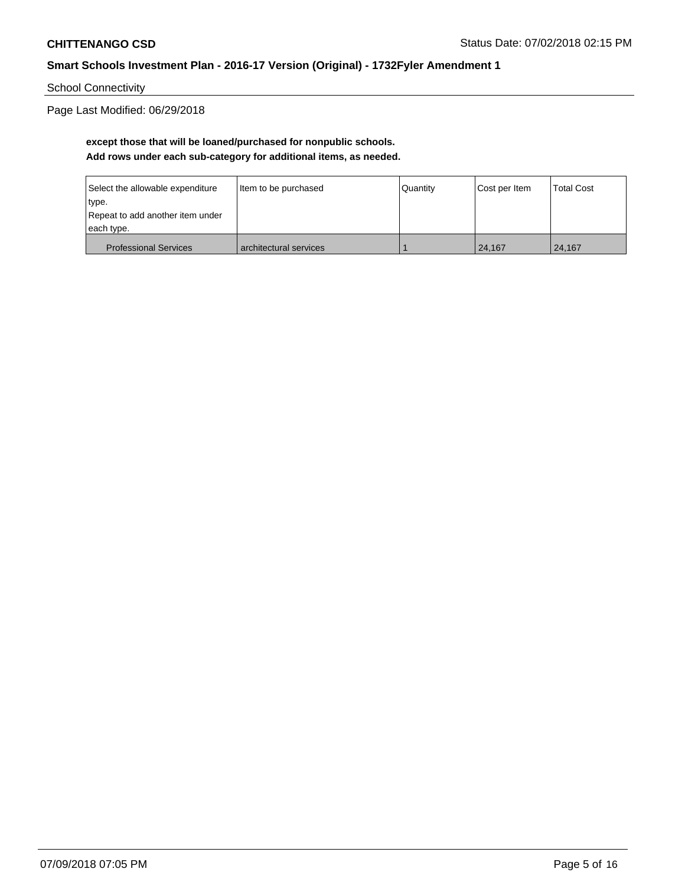School Connectivity

Page Last Modified: 06/29/2018

## **except those that will be loaned/purchased for nonpublic schools. Add rows under each sub-category for additional items, as needed.**

| Select the allowable expenditure | Item to be purchased   | Quantity | Cost per Item | Total Cost |
|----------------------------------|------------------------|----------|---------------|------------|
| type.                            |                        |          |               |            |
| Repeat to add another item under |                        |          |               |            |
| each type.                       |                        |          |               |            |
| <b>Professional Services</b>     | architectural services |          | 24.167        | 24.167     |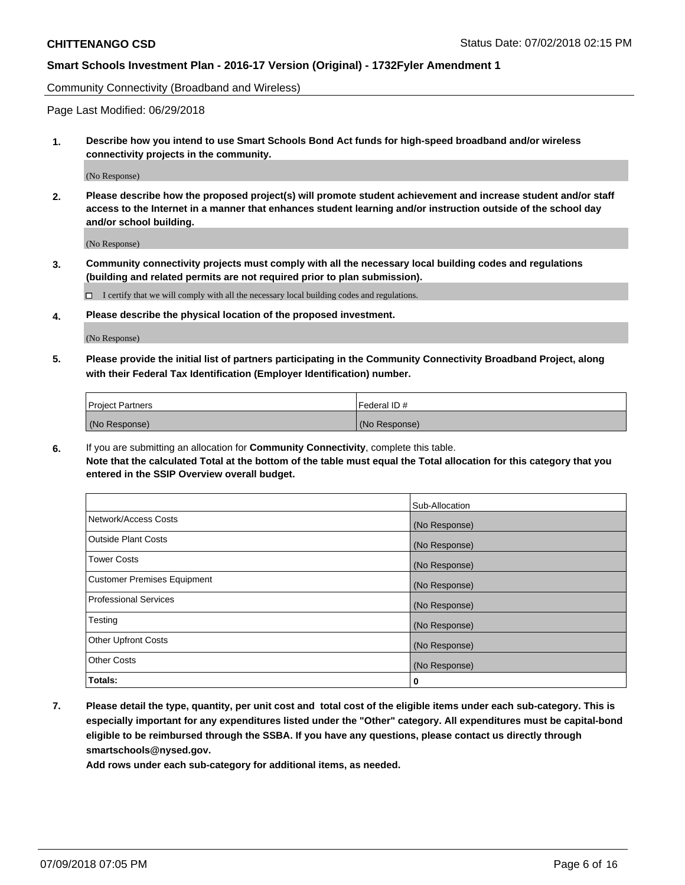Community Connectivity (Broadband and Wireless)

Page Last Modified: 06/29/2018

**1. Describe how you intend to use Smart Schools Bond Act funds for high-speed broadband and/or wireless connectivity projects in the community.**

(No Response)

**2. Please describe how the proposed project(s) will promote student achievement and increase student and/or staff access to the Internet in a manner that enhances student learning and/or instruction outside of the school day and/or school building.**

(No Response)

**3. Community connectivity projects must comply with all the necessary local building codes and regulations (building and related permits are not required prior to plan submission).**

 $\Box$  I certify that we will comply with all the necessary local building codes and regulations.

**4. Please describe the physical location of the proposed investment.**

(No Response)

**5. Please provide the initial list of partners participating in the Community Connectivity Broadband Project, along with their Federal Tax Identification (Employer Identification) number.**

| <b>Project Partners</b> | l Federal ID # |
|-------------------------|----------------|
| (No Response)           | (No Response)  |

**6.** If you are submitting an allocation for **Community Connectivity**, complete this table. **Note that the calculated Total at the bottom of the table must equal the Total allocation for this category that you entered in the SSIP Overview overall budget.**

|                                    | Sub-Allocation |
|------------------------------------|----------------|
| Network/Access Costs               | (No Response)  |
| Outside Plant Costs                | (No Response)  |
| <b>Tower Costs</b>                 | (No Response)  |
| <b>Customer Premises Equipment</b> | (No Response)  |
| Professional Services              | (No Response)  |
| Testing                            | (No Response)  |
| <b>Other Upfront Costs</b>         | (No Response)  |
| <b>Other Costs</b>                 | (No Response)  |
| Totals:                            | 0              |

**7. Please detail the type, quantity, per unit cost and total cost of the eligible items under each sub-category. This is especially important for any expenditures listed under the "Other" category. All expenditures must be capital-bond eligible to be reimbursed through the SSBA. If you have any questions, please contact us directly through smartschools@nysed.gov.**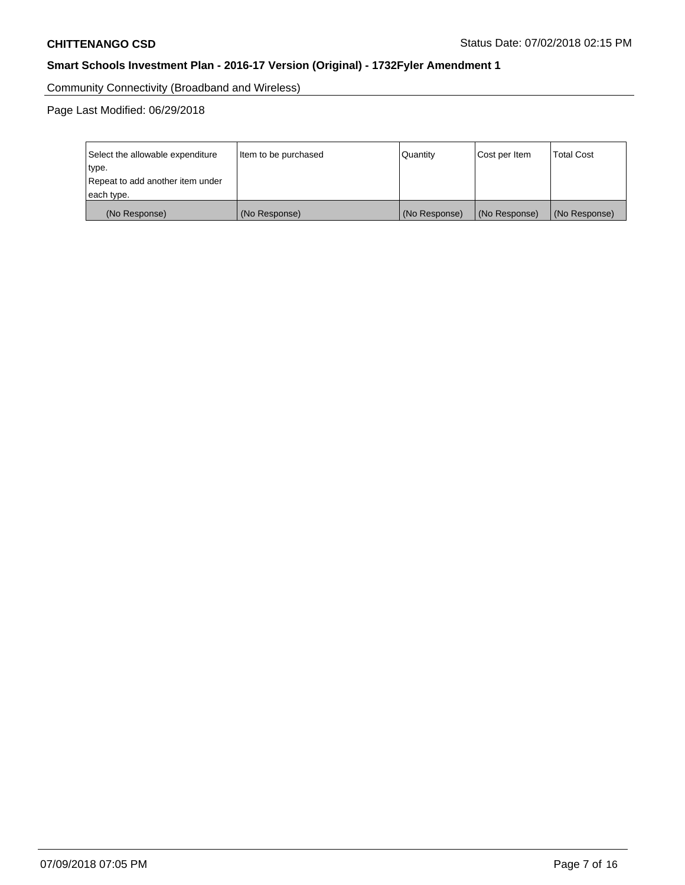Community Connectivity (Broadband and Wireless)

Page Last Modified: 06/29/2018

| Select the allowable expenditure<br>type.<br>Repeat to add another item under | Item to be purchased | Quantity      | Cost per Item | <b>Total Cost</b> |
|-------------------------------------------------------------------------------|----------------------|---------------|---------------|-------------------|
| each type.                                                                    |                      |               |               |                   |
| (No Response)                                                                 | (No Response)        | (No Response) | (No Response) | (No Response)     |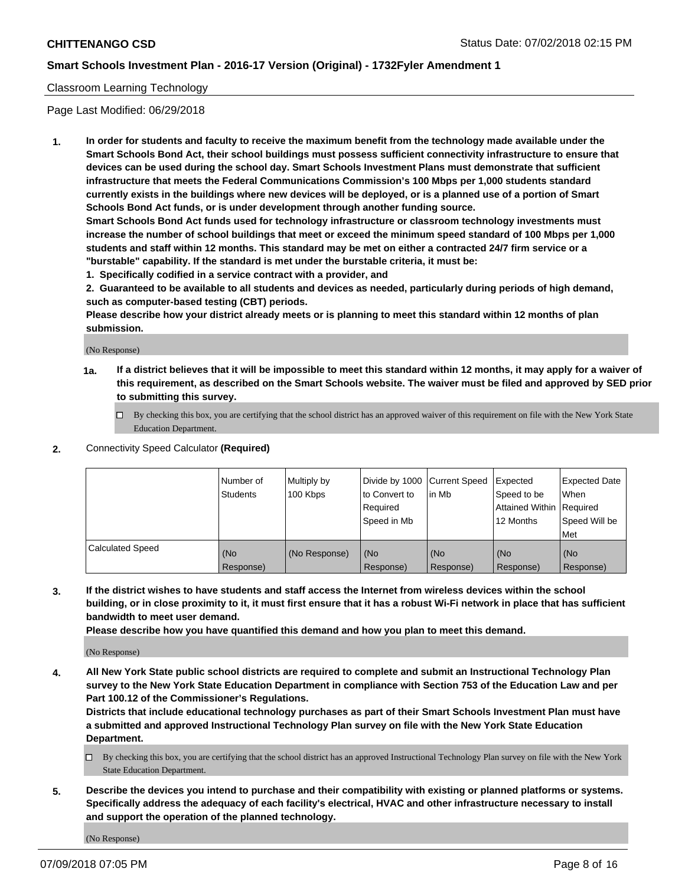### Classroom Learning Technology

Page Last Modified: 06/29/2018

**1. In order for students and faculty to receive the maximum benefit from the technology made available under the Smart Schools Bond Act, their school buildings must possess sufficient connectivity infrastructure to ensure that devices can be used during the school day. Smart Schools Investment Plans must demonstrate that sufficient infrastructure that meets the Federal Communications Commission's 100 Mbps per 1,000 students standard currently exists in the buildings where new devices will be deployed, or is a planned use of a portion of Smart Schools Bond Act funds, or is under development through another funding source.**

**Smart Schools Bond Act funds used for technology infrastructure or classroom technology investments must increase the number of school buildings that meet or exceed the minimum speed standard of 100 Mbps per 1,000 students and staff within 12 months. This standard may be met on either a contracted 24/7 firm service or a "burstable" capability. If the standard is met under the burstable criteria, it must be:**

**1. Specifically codified in a service contract with a provider, and**

**2. Guaranteed to be available to all students and devices as needed, particularly during periods of high demand, such as computer-based testing (CBT) periods.**

**Please describe how your district already meets or is planning to meet this standard within 12 months of plan submission.**

(No Response)

- **1a. If a district believes that it will be impossible to meet this standard within 12 months, it may apply for a waiver of this requirement, as described on the Smart Schools website. The waiver must be filed and approved by SED prior to submitting this survey.**
	- By checking this box, you are certifying that the school district has an approved waiver of this requirement on file with the New York State Education Department.
- **2.** Connectivity Speed Calculator **(Required)**

|                         | l Number of<br><b>Students</b> | Multiply by<br>100 Kbps | Divide by 1000 Current Speed<br>to Convert to<br>Required<br>l Speed in Mb | lin Mb           | Expected<br>Speed to be<br>Attained Within Required<br>12 Months | Expected Date<br>When<br>Speed Will be<br><b>Met</b> |
|-------------------------|--------------------------------|-------------------------|----------------------------------------------------------------------------|------------------|------------------------------------------------------------------|------------------------------------------------------|
| <b>Calculated Speed</b> | (No<br>Response)               | (No Response)           | (No<br>Response)                                                           | (No<br>Response) | (No<br>Response)                                                 | l (No<br>Response)                                   |

**3. If the district wishes to have students and staff access the Internet from wireless devices within the school building, or in close proximity to it, it must first ensure that it has a robust Wi-Fi network in place that has sufficient bandwidth to meet user demand.**

**Please describe how you have quantified this demand and how you plan to meet this demand.**

(No Response)

**4. All New York State public school districts are required to complete and submit an Instructional Technology Plan survey to the New York State Education Department in compliance with Section 753 of the Education Law and per Part 100.12 of the Commissioner's Regulations.**

**Districts that include educational technology purchases as part of their Smart Schools Investment Plan must have a submitted and approved Instructional Technology Plan survey on file with the New York State Education Department.**

- By checking this box, you are certifying that the school district has an approved Instructional Technology Plan survey on file with the New York State Education Department.
- **5. Describe the devices you intend to purchase and their compatibility with existing or planned platforms or systems. Specifically address the adequacy of each facility's electrical, HVAC and other infrastructure necessary to install and support the operation of the planned technology.**

(No Response)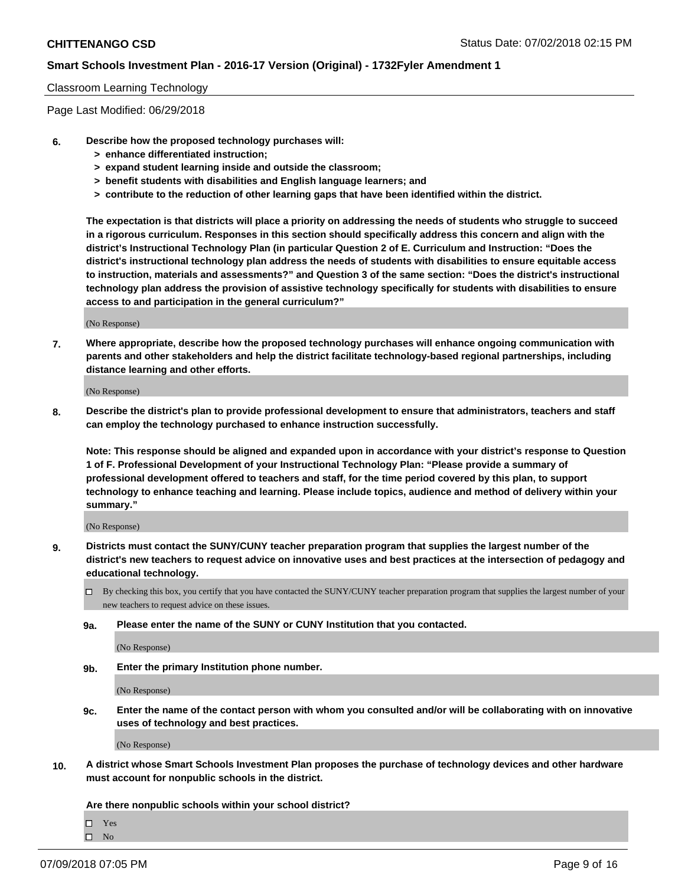#### Classroom Learning Technology

Page Last Modified: 06/29/2018

- **6. Describe how the proposed technology purchases will:**
	- **> enhance differentiated instruction;**
	- **> expand student learning inside and outside the classroom;**
	- **> benefit students with disabilities and English language learners; and**
	- **> contribute to the reduction of other learning gaps that have been identified within the district.**

**The expectation is that districts will place a priority on addressing the needs of students who struggle to succeed in a rigorous curriculum. Responses in this section should specifically address this concern and align with the district's Instructional Technology Plan (in particular Question 2 of E. Curriculum and Instruction: "Does the district's instructional technology plan address the needs of students with disabilities to ensure equitable access to instruction, materials and assessments?" and Question 3 of the same section: "Does the district's instructional technology plan address the provision of assistive technology specifically for students with disabilities to ensure access to and participation in the general curriculum?"**

(No Response)

**7. Where appropriate, describe how the proposed technology purchases will enhance ongoing communication with parents and other stakeholders and help the district facilitate technology-based regional partnerships, including distance learning and other efforts.**

(No Response)

**8. Describe the district's plan to provide professional development to ensure that administrators, teachers and staff can employ the technology purchased to enhance instruction successfully.**

**Note: This response should be aligned and expanded upon in accordance with your district's response to Question 1 of F. Professional Development of your Instructional Technology Plan: "Please provide a summary of professional development offered to teachers and staff, for the time period covered by this plan, to support technology to enhance teaching and learning. Please include topics, audience and method of delivery within your summary."**

(No Response)

- **9. Districts must contact the SUNY/CUNY teacher preparation program that supplies the largest number of the district's new teachers to request advice on innovative uses and best practices at the intersection of pedagogy and educational technology.**
	- By checking this box, you certify that you have contacted the SUNY/CUNY teacher preparation program that supplies the largest number of your new teachers to request advice on these issues.
	- **9a. Please enter the name of the SUNY or CUNY Institution that you contacted.**

(No Response)

**9b. Enter the primary Institution phone number.**

(No Response)

**9c. Enter the name of the contact person with whom you consulted and/or will be collaborating with on innovative uses of technology and best practices.**

(No Response)

**10. A district whose Smart Schools Investment Plan proposes the purchase of technology devices and other hardware must account for nonpublic schools in the district.**

**Are there nonpublic schools within your school district?**

 $\Box$ Yes  $\hfill \square$  No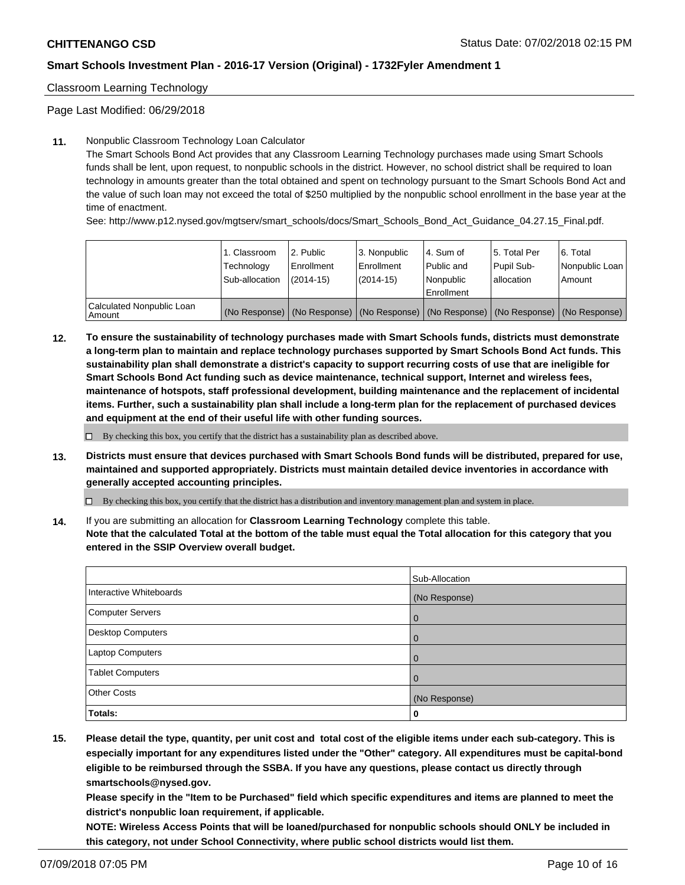Classroom Learning Technology

Page Last Modified: 06/29/2018

### **11.** Nonpublic Classroom Technology Loan Calculator

The Smart Schools Bond Act provides that any Classroom Learning Technology purchases made using Smart Schools funds shall be lent, upon request, to nonpublic schools in the district. However, no school district shall be required to loan technology in amounts greater than the total obtained and spent on technology pursuant to the Smart Schools Bond Act and the value of such loan may not exceed the total of \$250 multiplied by the nonpublic school enrollment in the base year at the time of enactment.

See: http://www.p12.nysed.gov/mgtserv/smart\_schools/docs/Smart\_Schools\_Bond\_Act\_Guidance\_04.27.15\_Final.pdf.

|                                       | 1. Classroom<br>Technology<br>Sub-allocation | l 2. Public<br>Enrollment<br>$(2014 - 15)$ | l 3. Nonpublic<br>Enrollment<br>(2014-15) | 4. Sum of<br>Public and<br>l Nonpublic<br>Enrollment | l 5. Total Per<br>Pupil Sub-<br>lallocation                                                   | l 6. Total<br>Nonpublic Loan<br>Amount |
|---------------------------------------|----------------------------------------------|--------------------------------------------|-------------------------------------------|------------------------------------------------------|-----------------------------------------------------------------------------------------------|----------------------------------------|
| Calculated Nonpublic Loan<br>l Amount |                                              |                                            |                                           |                                                      | (No Response)   (No Response)   (No Response)   (No Response)   (No Response)   (No Response) |                                        |

**12. To ensure the sustainability of technology purchases made with Smart Schools funds, districts must demonstrate a long-term plan to maintain and replace technology purchases supported by Smart Schools Bond Act funds. This sustainability plan shall demonstrate a district's capacity to support recurring costs of use that are ineligible for Smart Schools Bond Act funding such as device maintenance, technical support, Internet and wireless fees, maintenance of hotspots, staff professional development, building maintenance and the replacement of incidental items. Further, such a sustainability plan shall include a long-term plan for the replacement of purchased devices and equipment at the end of their useful life with other funding sources.**

 $\square$  By checking this box, you certify that the district has a sustainability plan as described above.

**13. Districts must ensure that devices purchased with Smart Schools Bond funds will be distributed, prepared for use, maintained and supported appropriately. Districts must maintain detailed device inventories in accordance with generally accepted accounting principles.**

By checking this box, you certify that the district has a distribution and inventory management plan and system in place.

**14.** If you are submitting an allocation for **Classroom Learning Technology** complete this table.

**Note that the calculated Total at the bottom of the table must equal the Total allocation for this category that you entered in the SSIP Overview overall budget.**

|                          | Sub-Allocation    |
|--------------------------|-------------------|
| Interactive Whiteboards  | (No Response)     |
| <b>Computer Servers</b>  | $\mathbf{\Omega}$ |
| <b>Desktop Computers</b> |                   |
| Laptop Computers         | 0                 |
| <b>Tablet Computers</b>  | 0                 |
| <b>Other Costs</b>       | (No Response)     |
| <b>Totals:</b>           | u                 |

**15. Please detail the type, quantity, per unit cost and total cost of the eligible items under each sub-category. This is especially important for any expenditures listed under the "Other" category. All expenditures must be capital-bond eligible to be reimbursed through the SSBA. If you have any questions, please contact us directly through smartschools@nysed.gov.**

**Please specify in the "Item to be Purchased" field which specific expenditures and items are planned to meet the district's nonpublic loan requirement, if applicable.**

**NOTE: Wireless Access Points that will be loaned/purchased for nonpublic schools should ONLY be included in this category, not under School Connectivity, where public school districts would list them.**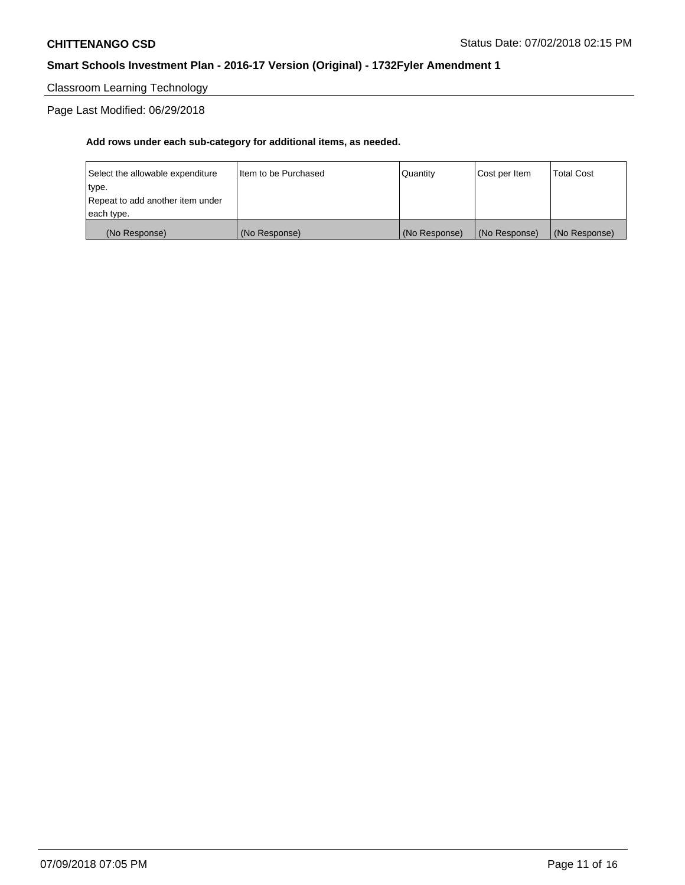Classroom Learning Technology

Page Last Modified: 06/29/2018

| (No Response)                    | (No Response)          | (No Response) | (No Response) | (No Response)     |
|----------------------------------|------------------------|---------------|---------------|-------------------|
| each type.                       |                        |               |               |                   |
| Repeat to add another item under |                        |               |               |                   |
| type.                            |                        |               |               |                   |
| Select the allowable expenditure | I Item to be Purchased | Quantity      | Cost per Item | <b>Total Cost</b> |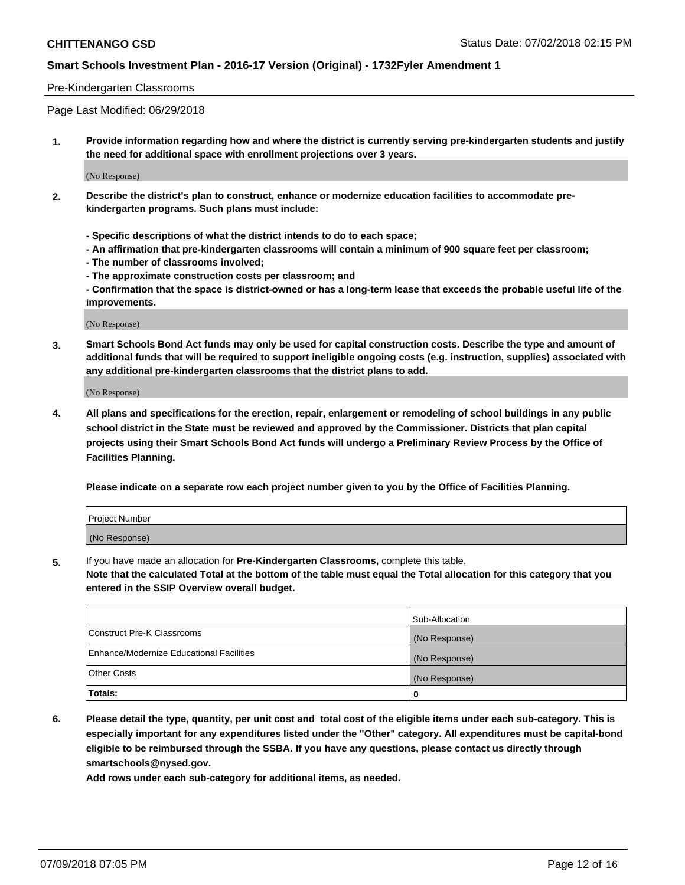### Pre-Kindergarten Classrooms

Page Last Modified: 06/29/2018

**1. Provide information regarding how and where the district is currently serving pre-kindergarten students and justify the need for additional space with enrollment projections over 3 years.**

(No Response)

- **2. Describe the district's plan to construct, enhance or modernize education facilities to accommodate prekindergarten programs. Such plans must include:**
	- **Specific descriptions of what the district intends to do to each space;**
	- **An affirmation that pre-kindergarten classrooms will contain a minimum of 900 square feet per classroom;**
	- **The number of classrooms involved;**
	- **The approximate construction costs per classroom; and**
	- **Confirmation that the space is district-owned or has a long-term lease that exceeds the probable useful life of the improvements.**

(No Response)

**3. Smart Schools Bond Act funds may only be used for capital construction costs. Describe the type and amount of additional funds that will be required to support ineligible ongoing costs (e.g. instruction, supplies) associated with any additional pre-kindergarten classrooms that the district plans to add.**

(No Response)

**4. All plans and specifications for the erection, repair, enlargement or remodeling of school buildings in any public school district in the State must be reviewed and approved by the Commissioner. Districts that plan capital projects using their Smart Schools Bond Act funds will undergo a Preliminary Review Process by the Office of Facilities Planning.**

**Please indicate on a separate row each project number given to you by the Office of Facilities Planning.**

| <b>Project Number</b> |  |
|-----------------------|--|
| (No Response)         |  |

**5.** If you have made an allocation for **Pre-Kindergarten Classrooms,** complete this table.

**Note that the calculated Total at the bottom of the table must equal the Total allocation for this category that you entered in the SSIP Overview overall budget.**

|                                          | Sub-Allocation |
|------------------------------------------|----------------|
| Construct Pre-K Classrooms               | (No Response)  |
| Enhance/Modernize Educational Facilities | (No Response)  |
| Other Costs                              | (No Response)  |
| Totals:                                  | 0              |

**6. Please detail the type, quantity, per unit cost and total cost of the eligible items under each sub-category. This is especially important for any expenditures listed under the "Other" category. All expenditures must be capital-bond eligible to be reimbursed through the SSBA. If you have any questions, please contact us directly through smartschools@nysed.gov.**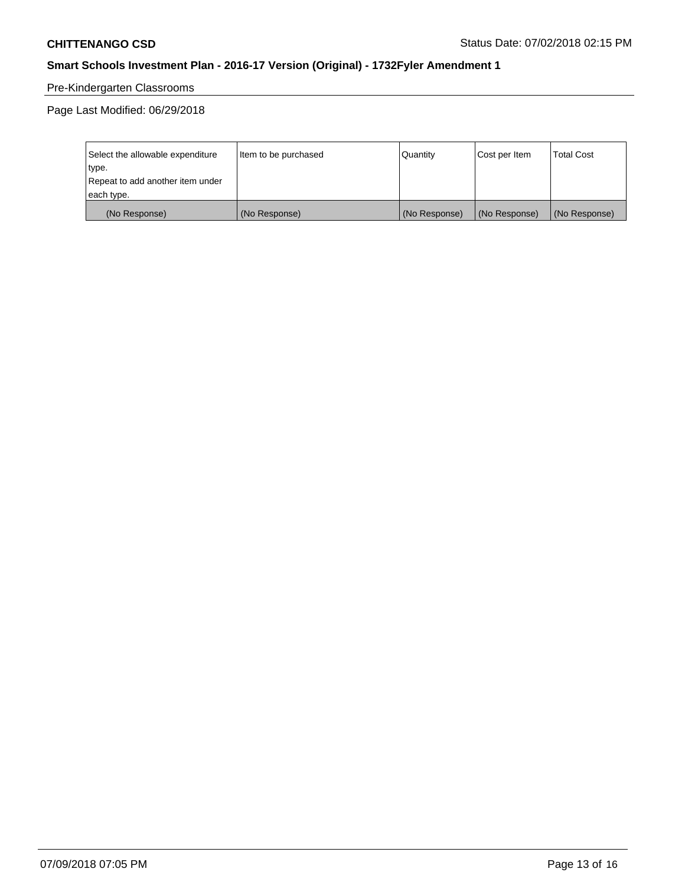# Pre-Kindergarten Classrooms

Page Last Modified: 06/29/2018

| Select the allowable expenditure | Item to be purchased | Quantity      | Cost per Item | <b>Total Cost</b> |
|----------------------------------|----------------------|---------------|---------------|-------------------|
| type.                            |                      |               |               |                   |
| Repeat to add another item under |                      |               |               |                   |
| each type.                       |                      |               |               |                   |
| (No Response)                    | (No Response)        | (No Response) | (No Response) | (No Response)     |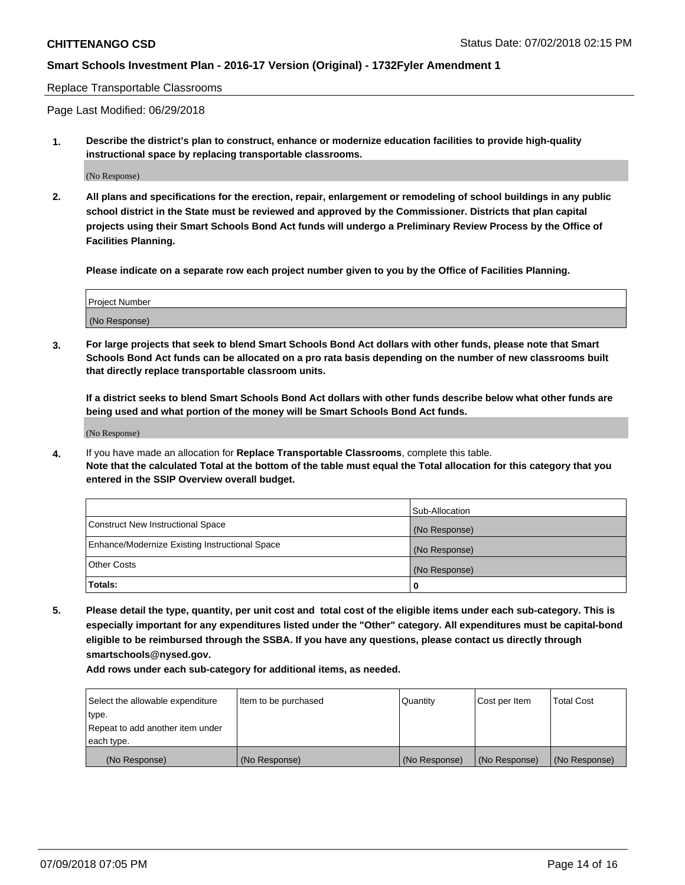#### Replace Transportable Classrooms

Page Last Modified: 06/29/2018

**1. Describe the district's plan to construct, enhance or modernize education facilities to provide high-quality instructional space by replacing transportable classrooms.**

(No Response)

**2. All plans and specifications for the erection, repair, enlargement or remodeling of school buildings in any public school district in the State must be reviewed and approved by the Commissioner. Districts that plan capital projects using their Smart Schools Bond Act funds will undergo a Preliminary Review Process by the Office of Facilities Planning.**

**Please indicate on a separate row each project number given to you by the Office of Facilities Planning.**

| <b>Project Number</b> |  |
|-----------------------|--|
| (No Response)         |  |
|                       |  |

**3. For large projects that seek to blend Smart Schools Bond Act dollars with other funds, please note that Smart Schools Bond Act funds can be allocated on a pro rata basis depending on the number of new classrooms built that directly replace transportable classroom units.**

**If a district seeks to blend Smart Schools Bond Act dollars with other funds describe below what other funds are being used and what portion of the money will be Smart Schools Bond Act funds.**

(No Response)

**4.** If you have made an allocation for **Replace Transportable Classrooms**, complete this table. **Note that the calculated Total at the bottom of the table must equal the Total allocation for this category that you entered in the SSIP Overview overall budget.**

|                                                | Sub-Allocation |
|------------------------------------------------|----------------|
| Construct New Instructional Space              | (No Response)  |
| Enhance/Modernize Existing Instructional Space | (No Response)  |
| Other Costs                                    | (No Response)  |
| Totals:                                        | 0              |

**5. Please detail the type, quantity, per unit cost and total cost of the eligible items under each sub-category. This is especially important for any expenditures listed under the "Other" category. All expenditures must be capital-bond eligible to be reimbursed through the SSBA. If you have any questions, please contact us directly through smartschools@nysed.gov.**

| Select the allowable expenditure | Item to be purchased | Quantity      | Cost per Item | <b>Total Cost</b> |
|----------------------------------|----------------------|---------------|---------------|-------------------|
| type.                            |                      |               |               |                   |
| Repeat to add another item under |                      |               |               |                   |
| each type.                       |                      |               |               |                   |
| (No Response)                    | (No Response)        | (No Response) | (No Response) | (No Response)     |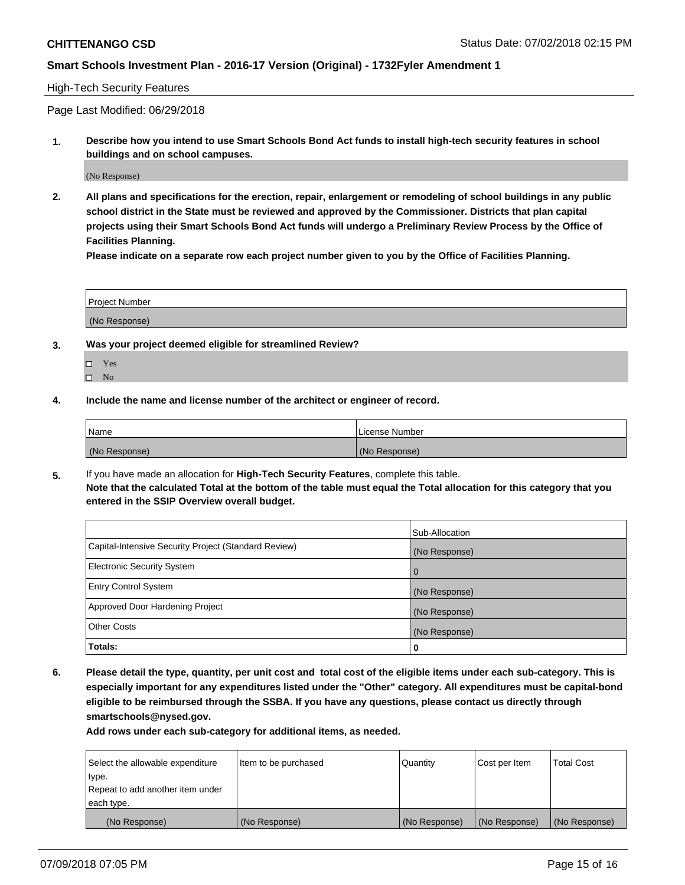#### High-Tech Security Features

Page Last Modified: 06/29/2018

**1. Describe how you intend to use Smart Schools Bond Act funds to install high-tech security features in school buildings and on school campuses.**

(No Response)

**2. All plans and specifications for the erection, repair, enlargement or remodeling of school buildings in any public school district in the State must be reviewed and approved by the Commissioner. Districts that plan capital projects using their Smart Schools Bond Act funds will undergo a Preliminary Review Process by the Office of Facilities Planning.** 

**Please indicate on a separate row each project number given to you by the Office of Facilities Planning.**

| <b>Project Number</b> |  |  |
|-----------------------|--|--|
|                       |  |  |
| (No Response)         |  |  |

- **3. Was your project deemed eligible for streamlined Review?**
	- Yes  $\square$  No
- **4. Include the name and license number of the architect or engineer of record.**

| Name          | License Number |
|---------------|----------------|
| (No Response) | (No Response)  |

**5.** If you have made an allocation for **High-Tech Security Features**, complete this table. **Note that the calculated Total at the bottom of the table must equal the Total allocation for this category that you entered in the SSIP Overview overall budget.**

|                                                      | Sub-Allocation |
|------------------------------------------------------|----------------|
| Capital-Intensive Security Project (Standard Review) | (No Response)  |
| <b>Electronic Security System</b>                    | l O            |
| <b>Entry Control System</b>                          | (No Response)  |
| Approved Door Hardening Project                      | (No Response)  |
| <b>Other Costs</b>                                   | (No Response)  |
| Totals:                                              | 0              |

**6. Please detail the type, quantity, per unit cost and total cost of the eligible items under each sub-category. This is especially important for any expenditures listed under the "Other" category. All expenditures must be capital-bond eligible to be reimbursed through the SSBA. If you have any questions, please contact us directly through smartschools@nysed.gov.**

| Select the allowable expenditure | Item to be purchased | Quantity      | Cost per Item | <b>Total Cost</b> |
|----------------------------------|----------------------|---------------|---------------|-------------------|
| type.                            |                      |               |               |                   |
| Repeat to add another item under |                      |               |               |                   |
| each type.                       |                      |               |               |                   |
| (No Response)                    | (No Response)        | (No Response) | (No Response) | (No Response)     |